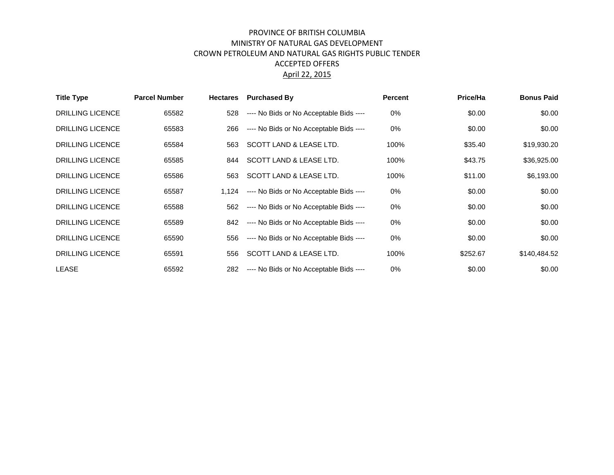## PROVINCE OF BRITISH COLUMBIA MINISTRY OF NATURAL GAS DEVELOPMENT CROWN PETROLEUM AND NATURAL GAS RIGHTS PUBLIC TENDER ACCEPTED OFFERS April 22, 2015

| <b>Title Type</b>       | <b>Parcel Number</b> | <b>Hectares</b> | <b>Purchased By</b>                           | <b>Percent</b> | Price/Ha | <b>Bonus Paid</b> |
|-------------------------|----------------------|-----------------|-----------------------------------------------|----------------|----------|-------------------|
| <b>DRILLING LICENCE</b> | 65582                | 528             | ---- No Bids or No Acceptable Bids ----       | 0%             | \$0.00   | \$0.00            |
| <b>DRILLING LICENCE</b> | 65583                | 266             | ---- No Bids or No Acceptable Bids ----       | $0\%$          | \$0.00   | \$0.00            |
| <b>DRILLING LICENCE</b> | 65584                | 563             | SCOTT LAND & LEASE LTD.                       | 100%           | \$35.40  | \$19,930.20       |
| <b>DRILLING LICENCE</b> | 65585                | 844             | SCOTT LAND & LEASE LTD.                       | 100%           | \$43.75  | \$36,925.00       |
| <b>DRILLING LICENCE</b> | 65586                | 563             | <b>SCOTT LAND &amp; LEASE LTD.</b>            | 100%           | \$11.00  | \$6,193.00        |
| <b>DRILLING LICENCE</b> | 65587                |                 | 1,124 ---- No Bids or No Acceptable Bids ---- | 0%             | \$0.00   | \$0.00            |
| <b>DRILLING LICENCE</b> | 65588                | 562             | ---- No Bids or No Acceptable Bids ----       | 0%             | \$0.00   | \$0.00            |
| <b>DRILLING LICENCE</b> | 65589                | 842             | ---- No Bids or No Acceptable Bids ----       | 0%             | \$0.00   | \$0.00            |
| <b>DRILLING LICENCE</b> | 65590                | 556             | ---- No Bids or No Acceptable Bids ----       | 0%             | \$0.00   | \$0.00            |
| <b>DRILLING LICENCE</b> | 65591                | 556             | <b>SCOTT LAND &amp; LEASE LTD.</b>            | 100%           | \$252.67 | \$140,484.52      |
| <b>LEASE</b>            | 65592                | 282             | ---- No Bids or No Acceptable Bids ----       | 0%             | \$0.00   | \$0.00            |